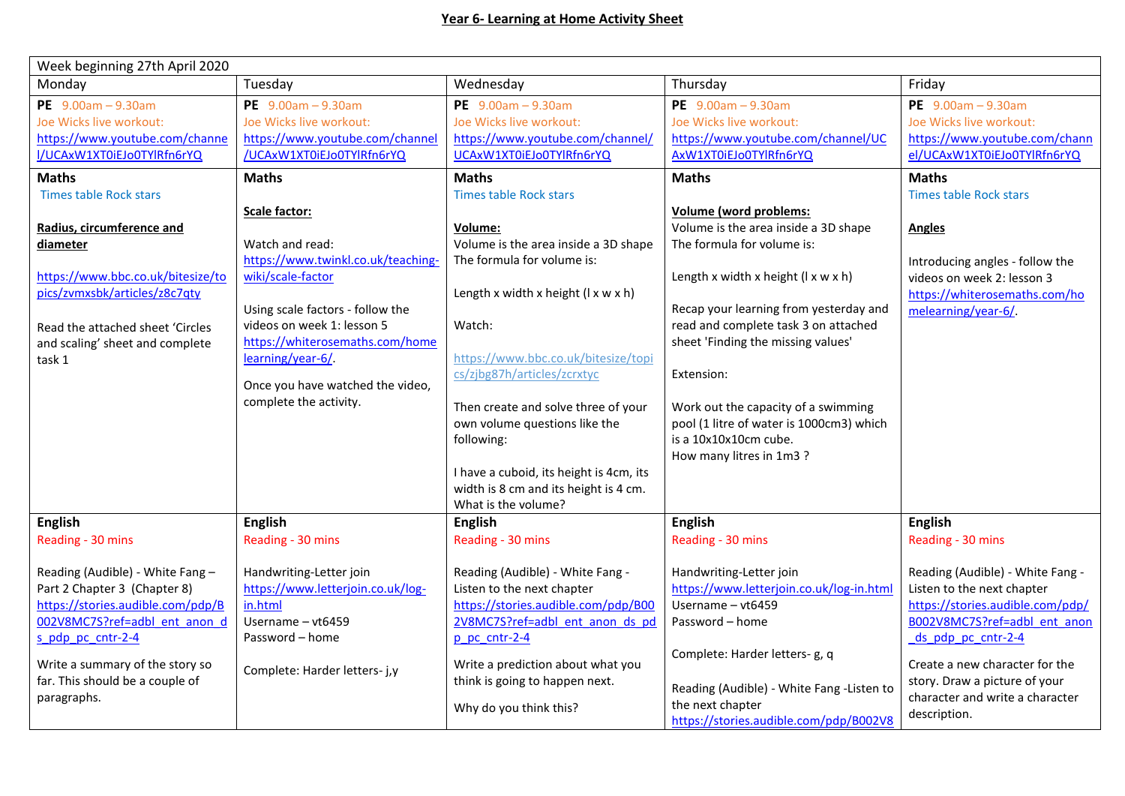| Week beginning 27th April 2020                                     |                                      |                                                                        |                                           |                                                                  |
|--------------------------------------------------------------------|--------------------------------------|------------------------------------------------------------------------|-------------------------------------------|------------------------------------------------------------------|
| Monday                                                             | Tuesday                              | Wednesday                                                              | Thursday                                  | Friday                                                           |
| PE $9.00am - 9.30am$                                               | PE $9.00am - 9.30am$                 | PE $9.00am - 9.30am$                                                   | PE $9.00am - 9.30am$                      | PE $9.00am - 9.30am$                                             |
| Joe Wicks live workout:                                            | Joe Wicks live workout:              | Joe Wicks live workout:                                                | Joe Wicks live workout:                   | Joe Wicks live workout:                                          |
| https://www.youtube.com/channe                                     | https://www.youtube.com/channel      | https://www.youtube.com/channel/                                       | https://www.youtube.com/channel/UC        | https://www.youtube.com/chann                                    |
| I/UCAxW1XT0iEJo0TYlRfn6rYQ                                         | /UCAxW1XT0iEJo0TYlRfn6rYQ            | UCAxW1XT0iEJo0TYlRfn6rYQ                                               | AxW1XT0iEJo0TYlRfn6rYQ                    | el/UCAxW1XT0iEJo0TYlRfn6rYQ                                      |
| <b>Maths</b>                                                       | <b>Maths</b>                         | <b>Maths</b>                                                           | <b>Maths</b>                              | <b>Maths</b>                                                     |
| <b>Times table Rock stars</b>                                      |                                      | <b>Times table Rock stars</b>                                          |                                           | <b>Times table Rock stars</b>                                    |
|                                                                    | Scale factor:                        |                                                                        | Volume (word problems:                    |                                                                  |
| Radius, circumference and                                          |                                      | Volume:                                                                | Volume is the area inside a 3D shape      | <b>Angles</b>                                                    |
| diameter                                                           | Watch and read:                      | Volume is the area inside a 3D shape                                   | The formula for volume is:                |                                                                  |
|                                                                    | https://www.twinkl.co.uk/teaching-   | The formula for volume is:                                             |                                           | Introducing angles - follow the                                  |
| https://www.bbc.co.uk/bitesize/to                                  | wiki/scale-factor                    |                                                                        | Length x width x height (I x w x h)       | videos on week 2: lesson 3                                       |
| pics/zvmxsbk/articles/z8c7qty                                      |                                      | Length x width x height $(l \times w \times h)$                        |                                           | https://whiterosemaths.com/ho                                    |
|                                                                    | Using scale factors - follow the     |                                                                        | Recap your learning from yesterday and    | melearning/year-6/                                               |
| Read the attached sheet 'Circles                                   | videos on week 1: lesson 5           | Watch:                                                                 | read and complete task 3 on attached      |                                                                  |
| and scaling' sheet and complete                                    | https://whiterosemaths.com/home      |                                                                        | sheet 'Finding the missing values'        |                                                                  |
| task 1                                                             | learning/year-6/                     | https://www.bbc.co.uk/bitesize/topi                                    |                                           |                                                                  |
|                                                                    |                                      | cs/zjbg87h/articles/zcrxtyc                                            | Extension:                                |                                                                  |
|                                                                    | Once you have watched the video,     |                                                                        |                                           |                                                                  |
|                                                                    | complete the activity.               | Then create and solve three of your                                    | Work out the capacity of a swimming       |                                                                  |
|                                                                    |                                      | own volume questions like the                                          | pool (1 litre of water is 1000cm3) which  |                                                                  |
|                                                                    |                                      | following:                                                             | is a 10x10x10cm cube.                     |                                                                  |
|                                                                    |                                      |                                                                        | How many litres in 1m3?                   |                                                                  |
|                                                                    |                                      | I have a cuboid, its height is 4cm, its                                |                                           |                                                                  |
|                                                                    |                                      | width is 8 cm and its height is 4 cm.                                  |                                           |                                                                  |
|                                                                    |                                      | What is the volume?                                                    |                                           |                                                                  |
| <b>English</b>                                                     | <b>English</b>                       | <b>English</b>                                                         | <b>English</b>                            | <b>English</b>                                                   |
| Reading - 30 mins                                                  | Reading - 30 mins                    | Reading - 30 mins                                                      | Reading - 30 mins                         | Reading - 30 mins                                                |
|                                                                    |                                      |                                                                        |                                           |                                                                  |
| Reading (Audible) - White Fang -                                   | Handwriting-Letter join              | Reading (Audible) - White Fang -                                       | Handwriting-Letter join                   | Reading (Audible) - White Fang -                                 |
| Part 2 Chapter 3 (Chapter 8)                                       | https://www.letterjoin.co.uk/log-    | Listen to the next chapter                                             | https://www.letterjoin.co.uk/log-in.html  | Listen to the next chapter                                       |
| https://stories.audible.com/pdp/B<br>002V8MC7S?ref=adbl ent anon d | in.html                              | https://stories.audible.com/pdp/B00<br>2V8MC7S?ref=adbl ent anon ds pd | Username - vt6459                         | https://stories.audible.com/pdp/<br>B002V8MC7S?ref=adbl ent anon |
|                                                                    | Username - vt6459<br>Password - home |                                                                        | Password - home                           |                                                                  |
| s pdp pc cntr-2-4                                                  |                                      | p pc cntr-2-4                                                          |                                           | ds pdp pc cntr-2-4                                               |
| Write a summary of the story so                                    | Complete: Harder letters- j,y        | Write a prediction about what you                                      | Complete: Harder letters- g, q            | Create a new character for the                                   |
| far. This should be a couple of                                    |                                      | think is going to happen next.                                         |                                           | story. Draw a picture of your                                    |
| paragraphs.                                                        |                                      |                                                                        | Reading (Audible) - White Fang -Listen to | character and write a character                                  |
|                                                                    |                                      | Why do you think this?                                                 | the next chapter                          | description.                                                     |
|                                                                    |                                      |                                                                        | https://stories.audible.com/pdp/B002V8    |                                                                  |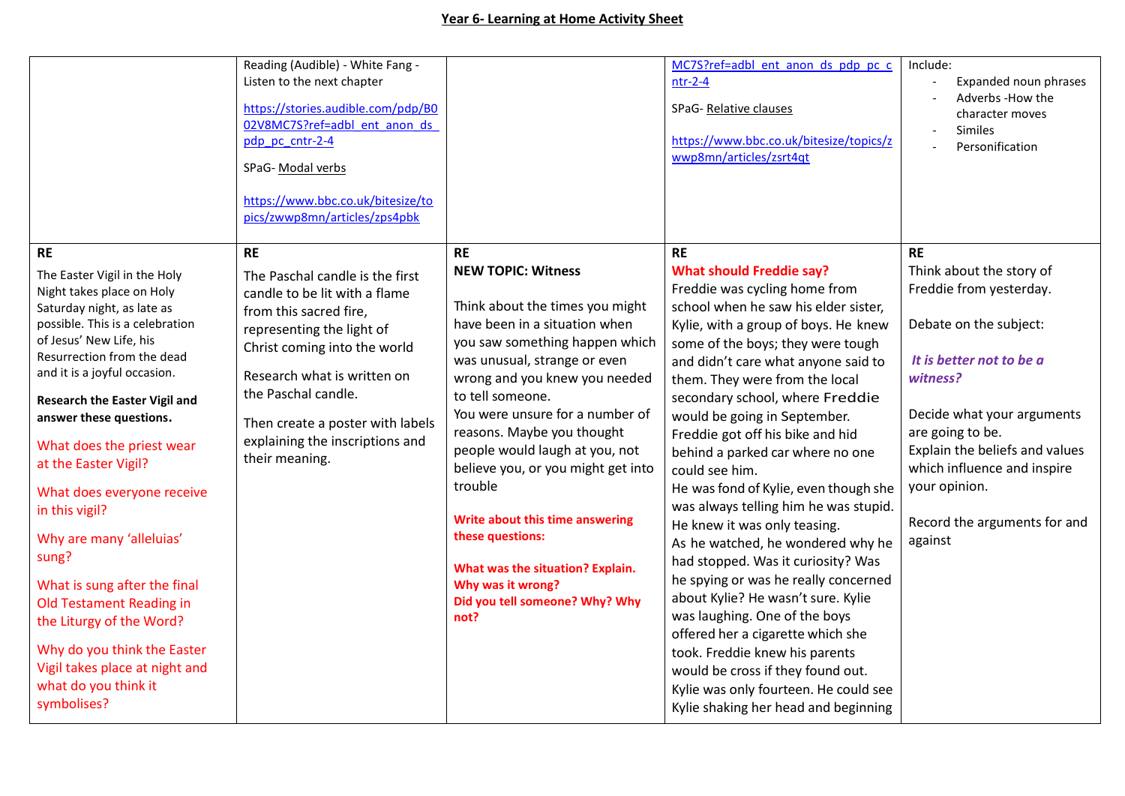## **Year 6- Learning at Home Activity Sheet**

|                                                                                                                                                                                                                                                                                                                                                                                                                                                                                                                                                                                                                                               | Reading (Audible) - White Fang -<br>Listen to the next chapter<br>https://stories.audible.com/pdp/B0<br>02V8MC7S?ref=adbl ent anon ds<br>pdp pc cntr-2-4<br>SPaG- Modal verbs<br>https://www.bbc.co.uk/bitesize/to<br>pics/zwwp8mn/articles/zps4pbk                                                                 |                                                                                                                                                                                                                                                                                                                                                                                                                                                                                                                                                 | MC7S?ref=adbl ent anon ds pdp pc c<br>$ntr-2-4$<br>SPaG-Relative clauses<br>https://www.bbc.co.uk/bitesize/topics/z<br>wwp8mn/articles/zsrt4qt                                                                                                                                                                                                                                                                                                                                                                                                                                                                                                                                                                                                                                                                                                                                                                                                    | Include:<br>Expanded noun phrases<br>Adverbs -How the<br>character moves<br>Similes<br>Personification                                                                                                                                                                                                            |
|-----------------------------------------------------------------------------------------------------------------------------------------------------------------------------------------------------------------------------------------------------------------------------------------------------------------------------------------------------------------------------------------------------------------------------------------------------------------------------------------------------------------------------------------------------------------------------------------------------------------------------------------------|---------------------------------------------------------------------------------------------------------------------------------------------------------------------------------------------------------------------------------------------------------------------------------------------------------------------|-------------------------------------------------------------------------------------------------------------------------------------------------------------------------------------------------------------------------------------------------------------------------------------------------------------------------------------------------------------------------------------------------------------------------------------------------------------------------------------------------------------------------------------------------|---------------------------------------------------------------------------------------------------------------------------------------------------------------------------------------------------------------------------------------------------------------------------------------------------------------------------------------------------------------------------------------------------------------------------------------------------------------------------------------------------------------------------------------------------------------------------------------------------------------------------------------------------------------------------------------------------------------------------------------------------------------------------------------------------------------------------------------------------------------------------------------------------------------------------------------------------|-------------------------------------------------------------------------------------------------------------------------------------------------------------------------------------------------------------------------------------------------------------------------------------------------------------------|
| <b>RE</b><br>The Easter Vigil in the Holy<br>Night takes place on Holy<br>Saturday night, as late as<br>possible. This is a celebration<br>of Jesus' New Life, his<br>Resurrection from the dead<br>and it is a joyful occasion.<br><b>Research the Easter Vigil and</b><br>answer these questions.<br>What does the priest wear<br>at the Easter Vigil?<br>What does everyone receive<br>in this vigil?<br>Why are many 'alleluias'<br>sung?<br>What is sung after the final<br>Old Testament Reading in<br>the Liturgy of the Word?<br>Why do you think the Easter<br>Vigil takes place at night and<br>what do you think it<br>symbolises? | <b>RE</b><br>The Paschal candle is the first<br>candle to be lit with a flame<br>from this sacred fire,<br>representing the light of<br>Christ coming into the world<br>Research what is written on<br>the Paschal candle.<br>Then create a poster with labels<br>explaining the inscriptions and<br>their meaning. | <b>RE</b><br><b>NEW TOPIC: Witness</b><br>Think about the times you might<br>have been in a situation when<br>you saw something happen which<br>was unusual, strange or even<br>wrong and you knew you needed<br>to tell someone.<br>You were unsure for a number of<br>reasons. Maybe you thought<br>people would laugh at you, not<br>believe you, or you might get into<br>trouble<br>Write about this time answering<br>these questions:<br>What was the situation? Explain.<br>Why was it wrong?<br>Did you tell someone? Why? Why<br>not? | <b>RE</b><br><b>What should Freddie say?</b><br>Freddie was cycling home from<br>school when he saw his elder sister,<br>Kylie, with a group of boys. He knew<br>some of the boys; they were tough<br>and didn't care what anyone said to<br>them. They were from the local<br>secondary school, where Freddie<br>would be going in September.<br>Freddie got off his bike and hid<br>behind a parked car where no one<br>could see him.<br>He was fond of Kylie, even though she<br>was always telling him he was stupid.<br>He knew it was only teasing.<br>As he watched, he wondered why he<br>had stopped. Was it curiosity? Was<br>he spying or was he really concerned<br>about Kylie? He wasn't sure. Kylie<br>was laughing. One of the boys<br>offered her a cigarette which she<br>took. Freddie knew his parents<br>would be cross if they found out.<br>Kylie was only fourteen. He could see<br>Kylie shaking her head and beginning | <b>RE</b><br>Think about the story of<br>Freddie from yesterday.<br>Debate on the subject:<br>It is better not to be a<br>witness?<br>Decide what your arguments<br>are going to be.<br>Explain the beliefs and values<br>which influence and inspire<br>your opinion.<br>Record the arguments for and<br>against |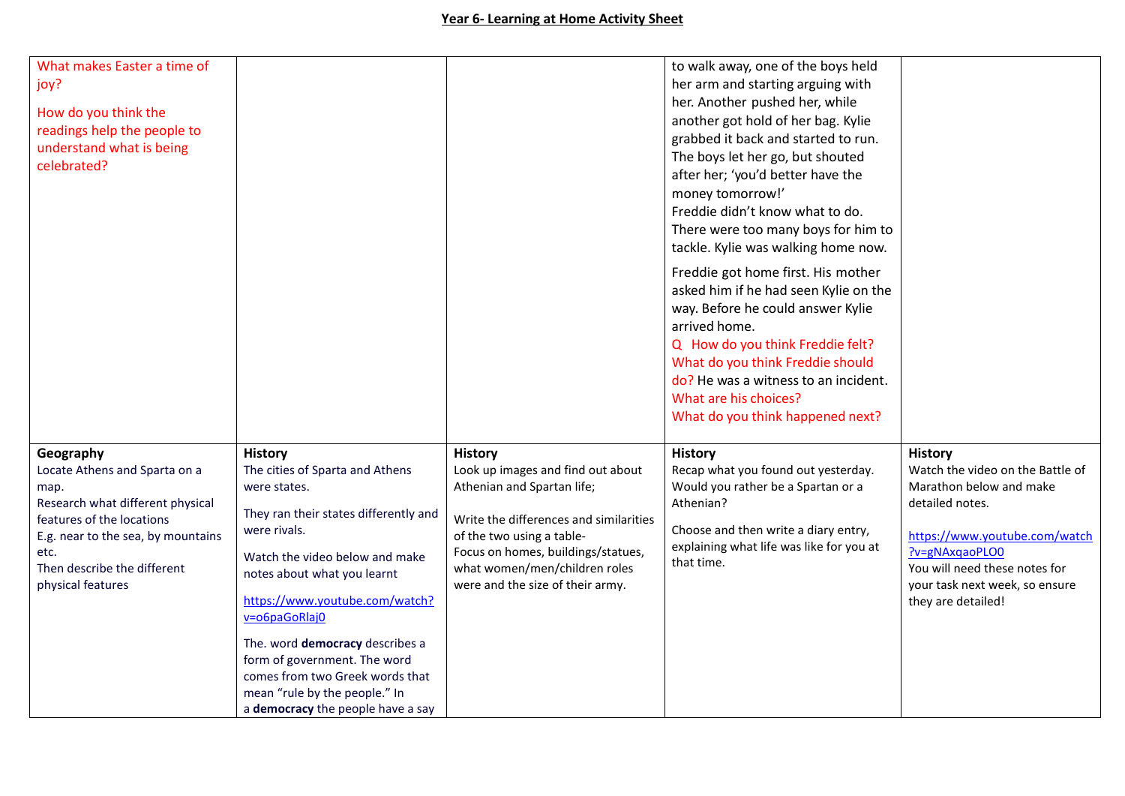| What makes Easter a time of                         |                                                 |                                                                 | to walk away, one of the boys held                                        |                                                             |
|-----------------------------------------------------|-------------------------------------------------|-----------------------------------------------------------------|---------------------------------------------------------------------------|-------------------------------------------------------------|
| joy?                                                |                                                 |                                                                 | her arm and starting arguing with                                         |                                                             |
|                                                     |                                                 |                                                                 | her. Another pushed her, while                                            |                                                             |
| How do you think the<br>readings help the people to |                                                 |                                                                 | another got hold of her bag. Kylie                                        |                                                             |
| understand what is being                            |                                                 |                                                                 | grabbed it back and started to run.                                       |                                                             |
| celebrated?                                         |                                                 |                                                                 | The boys let her go, but shouted                                          |                                                             |
|                                                     |                                                 |                                                                 | after her; 'you'd better have the                                         |                                                             |
|                                                     |                                                 |                                                                 | money tomorrow!'                                                          |                                                             |
|                                                     |                                                 |                                                                 | Freddie didn't know what to do.                                           |                                                             |
|                                                     |                                                 |                                                                 | There were too many boys for him to                                       |                                                             |
|                                                     |                                                 |                                                                 | tackle. Kylie was walking home now.                                       |                                                             |
|                                                     |                                                 |                                                                 | Freddie got home first. His mother                                        |                                                             |
|                                                     |                                                 |                                                                 | asked him if he had seen Kylie on the                                     |                                                             |
|                                                     |                                                 |                                                                 | way. Before he could answer Kylie                                         |                                                             |
|                                                     |                                                 |                                                                 | arrived home.                                                             |                                                             |
|                                                     |                                                 |                                                                 | Q How do you think Freddie felt?                                          |                                                             |
|                                                     |                                                 |                                                                 | What do you think Freddie should                                          |                                                             |
|                                                     |                                                 |                                                                 | do? He was a witness to an incident.                                      |                                                             |
|                                                     |                                                 |                                                                 | What are his choices?                                                     |                                                             |
|                                                     |                                                 |                                                                 | What do you think happened next?                                          |                                                             |
|                                                     |                                                 |                                                                 |                                                                           |                                                             |
| Geography                                           | <b>History</b>                                  | <b>History</b>                                                  | <b>History</b>                                                            | <b>History</b>                                              |
| Locate Athens and Sparta on a                       | The cities of Sparta and Athens<br>were states. | Look up images and find out about<br>Athenian and Spartan life; | Recap what you found out yesterday.<br>Would you rather be a Spartan or a | Watch the video on the Battle of<br>Marathon below and make |
| map.<br>Research what different physical            |                                                 |                                                                 | Athenian?                                                                 | detailed notes.                                             |
| features of the locations                           | They ran their states differently and           | Write the differences and similarities                          |                                                                           |                                                             |
| E.g. near to the sea, by mountains                  | were rivals.                                    | of the two using a table-                                       | Choose and then write a diary entry,                                      | https://www.youtube.com/watch                               |
| etc.                                                | Watch the video below and make                  | Focus on homes, buildings/statues,                              | explaining what life was like for you at                                  | ?v=gNAxqaoPLO0                                              |
| Then describe the different                         | notes about what you learnt                     | what women/men/children roles                                   | that time.                                                                | You will need these notes for                               |
| physical features                                   |                                                 | were and the size of their army.                                |                                                                           | your task next week, so ensure                              |
|                                                     | https://www.youtube.com/watch?                  |                                                                 |                                                                           | they are detailed!                                          |
|                                                     | v=o6paGoRlaj0                                   |                                                                 |                                                                           |                                                             |
|                                                     | The. word democracy describes a                 |                                                                 |                                                                           |                                                             |
|                                                     | form of government. The word                    |                                                                 |                                                                           |                                                             |
|                                                     | comes from two Greek words that                 |                                                                 |                                                                           |                                                             |
|                                                     | mean "rule by the people." In                   |                                                                 |                                                                           |                                                             |
|                                                     | a democracy the people have a say               |                                                                 |                                                                           |                                                             |